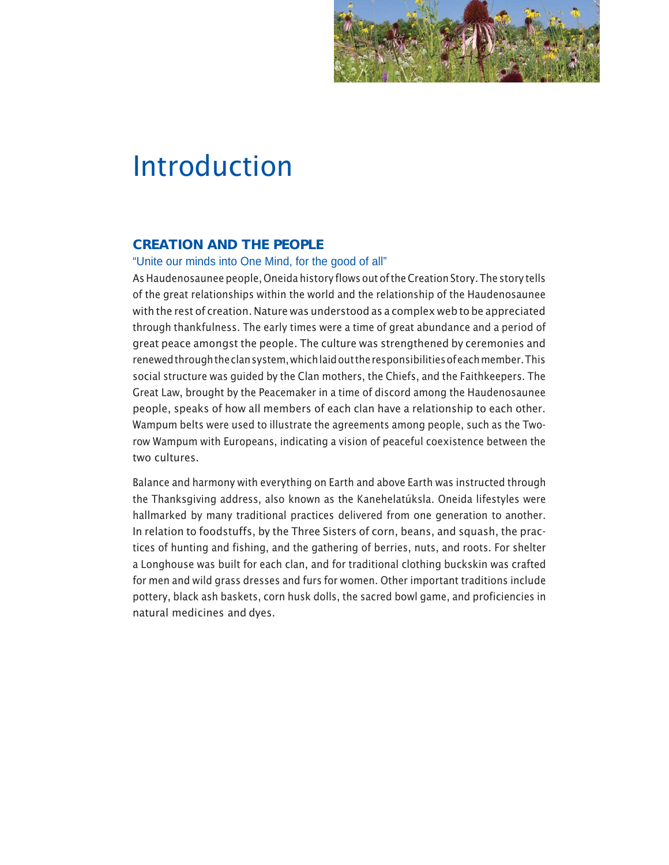

# Introduction

## **CREATION AND THE PEOPLE**

"Unite our minds into One Mind, for the good of all"

As Haudenosaunee people, Oneida history flows out of the Creation Story. The story tells of the great relationships within the world and the relationship of the Haudenosaunee with the rest of creation. Nature was understood as a complex web to be appreciated through thankfulness. The early times were a time of great abundance and a period of great peace amongst the people. The culture was strengthened by ceremonies and renewed through the clan system, which laid out the responsibilities of each member. This social structure was guided by the Clan mothers, the Chiefs, and the Faithkeepers. The Great Law, brought by the Peacemaker in a time of discord among the Haudenosaunee people, speaks of how all members of each clan have a relationship to each other. Wampum belts were used to illustrate the agreements among people, such as the Tworow Wampum with Europeans, indicating a vision of peaceful coexistence between the two cultures.

Balance and harmony with everything on Earth and above Earth was instructed through the Thanksgiving address, also known as the Kanehelatúksla. Oneida lifestyles were hallmarked by many traditional practices delivered from one generation to another. In relation to foodstuffs, by the Three Sisters of corn, beans, and squash, the practices of hunting and fishing, and the gathering of berries, nuts, and roots. For shelter a Longhouse was built for each clan, and for traditional clothing buckskin was crafted for men and wild grass dresses and furs for women. Other important traditions include pottery, black ash baskets, corn husk dolls, the sacred bowl game, and proficiencies in natural medicines and dyes.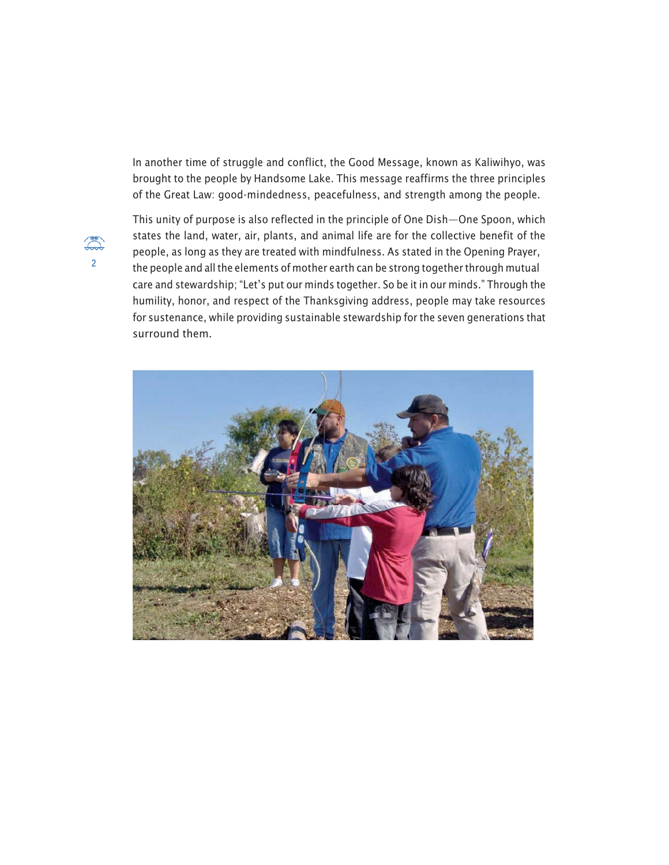In another time of struggle and conflict, the Good Message, known as Kaliwihyo, was brought to the people by Handsome Lake. This message reaffirms the three principles of the Great Law: good-mindedness, peacefulness, and strength among the people.



This unity of purpose is also reflected in the principle of One Dish—One Spoon, which states the land, water, air, plants, and animal life are for the collective benefit of the people, as long as they are treated with mindfulness. As stated in the Opening Prayer, 2 the people and all the elements of mother earth can be strong together through mutual care and stewardship; "Let's put our minds together. So be it in our minds." Through the humility, honor, and respect of the Thanksgiving address, people may take resources for sustenance, while providing sustainable stewardship for the seven generations that surround them.

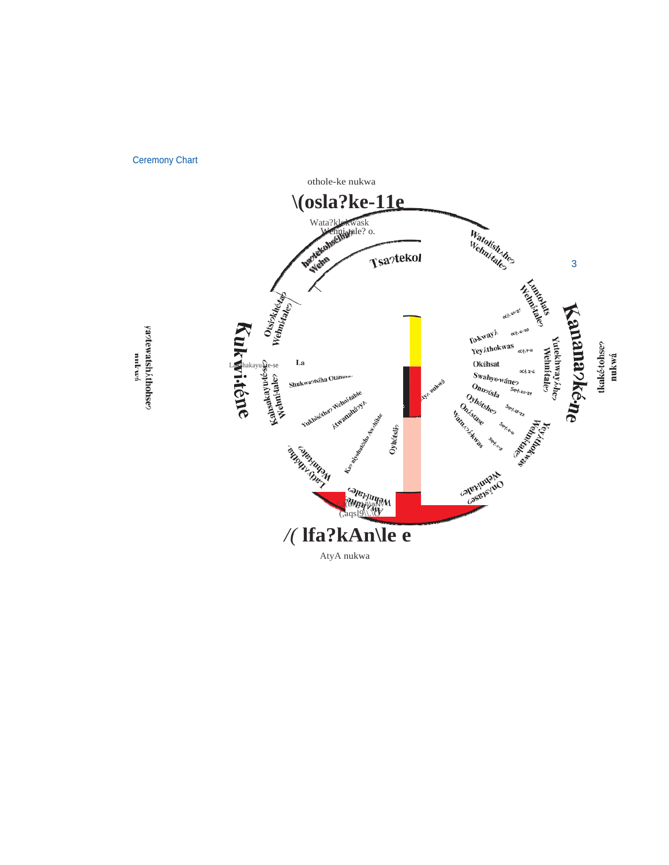Ceremony Chart



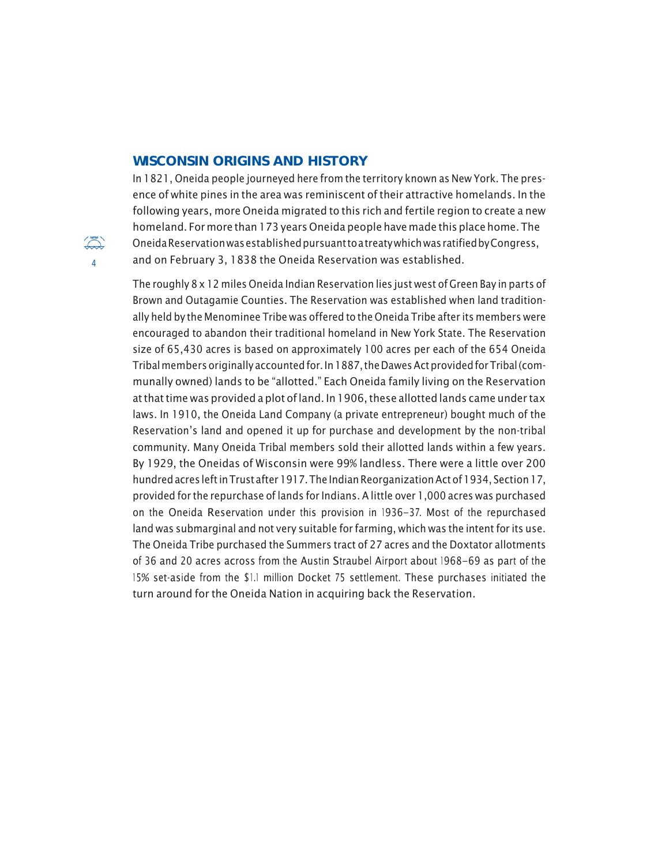### **WISCONSIN ORIGINS AND HISTORY**

In 1821, Oneida people journeyed here from the territory known as New York. The presence of white pines in the area was reminiscent of their attractive homelands. In the following years, more Oneida migrated to this rich and fertile region to create a new homeland. For more than 173 years Oneida people have made this place home. The  $\widetilde{\Huge{\sim}}$  Oneida Reservation was established pursuant to a treaty which was ratified by Congress, 4 and on February 3, 1838 the Oneida Reservation was established.

> The roughly 8 x 12 miles Oneida Indian Reservation lies just west of Green Bay in parts of Brown and Outagamie Counties. The Reservation was established when land traditionally held by the Menominee Tribe was offered to the Oneida Tribe after its members were encouraged to abandon their traditional homeland in New York State. The Reservation size of 65,430 acres is based on approximately 100 acres per each of the 654 Oneida Tribal members originally accounted for. In 1887, the Dawes Act provided for Tribal (communally owned) lands to be "allotted." Each Oneida family living on the Reservation at that time was provided a plot of land. In 1906, these allotted lands came under tax laws. In 1910, the Oneida Land Company (a private entrepreneur) bought much of the Reservation's land and opened it up for purchase and development by the non-tribal community. Many Oneida Tribal members sold their allotted lands within a few years. By 1929, the Oneidas of Wisconsin were 99% landless. There were a little over 200 hundred acres left in Trust after 1917. The Indian Reorganization Act of 1934, Section 17, provided for the repurchase of lands for Indians. A little over 1,000 acres was purchased on the Oneida Reservation under this provision in 1936–37. Most of the repurchased land was submarginal and not very suitable for farming, which was the intent for its use. The Oneida Tribe purchased the Summers tract of 27 acres and the Doxtator allotments of 36 and 20 acres across from the Austin Straubel Airport about 1968–69 as part of the 15% set-aside from the \$1.1 million Docket 75 settlement. These purchases initiated the turn around for the Oneida Nation in acquiring back the Reservation.

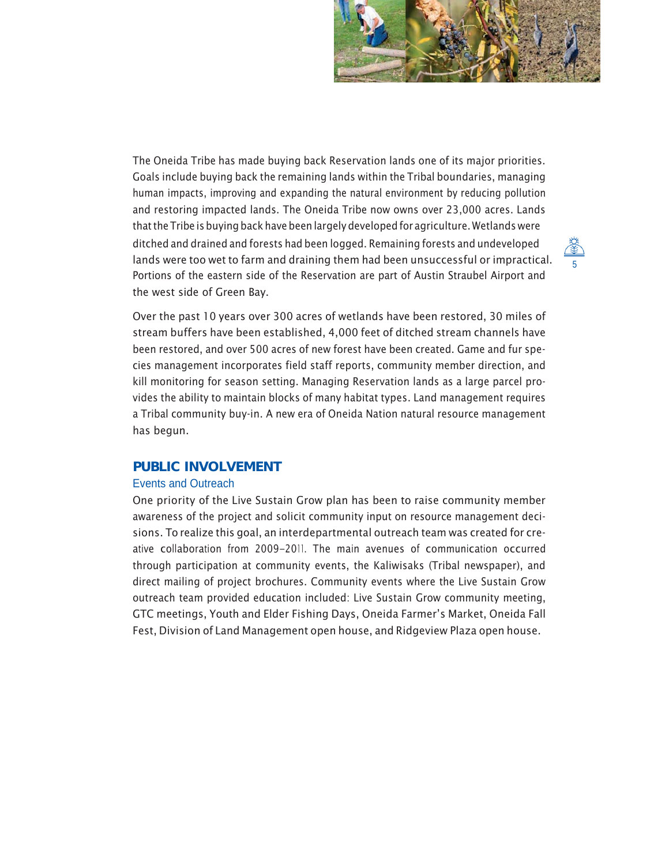

The Oneida Tribe has made buying back Reservation lands one of its major priorities. Goals include buying back the remaining lands within the Tribal boundaries, managing human impacts, improving and expanding the natural environment by reducing pollution and restoring impacted lands. The Oneida Tribe now owns over 23,000 acres. Lands that the Tribe is buying back have been largely developed for agriculture. Wetlands were ditched and drained and forests had been logged. Remaining forests and undeveloped lands were too wet to farm and draining them had been unsuccessful or impractical. Portions of the eastern side of the Reservation are part of Austin Straubel Airport and the west side of Green Bay.



Over the past 10 years over 300 acres of wetlands have been restored, 30 miles of stream buffers have been established, 4,000 feet of ditched stream channels have been restored, and over 500 acres of new forest have been created. Game and fur species management incorporates field staff reports, community member direction, and kill monitoring for season setting. Managing Reservation lands as a large parcel provides the ability to maintain blocks of many habitat types. Land management requires a Tribal community buy-in. A new era of Oneida Nation natural resource management has begun.

## **PUBLIC INVOLVEMENT**

#### Events and Outreach

One priority of the Live Sustain Grow plan has been to raise community member awareness of the project and solicit community input on resource management decisions. To realize this goal, an interdepartmental outreach team was created for creative collaboration from 2009–2011. The main avenues of communication occurred through participation at community events, the Kaliwisaks (Tribal newspaper), and direct mailing of project brochures. Community events where the Live Sustain Grow outreach team provided education included: Live Sustain Grow community meeting, GTC meetings, Youth and Elder Fishing Days, Oneida Farmer's Market, Oneida Fall Fest, Division of Land Management open house, and Ridgeview Plaza open house.